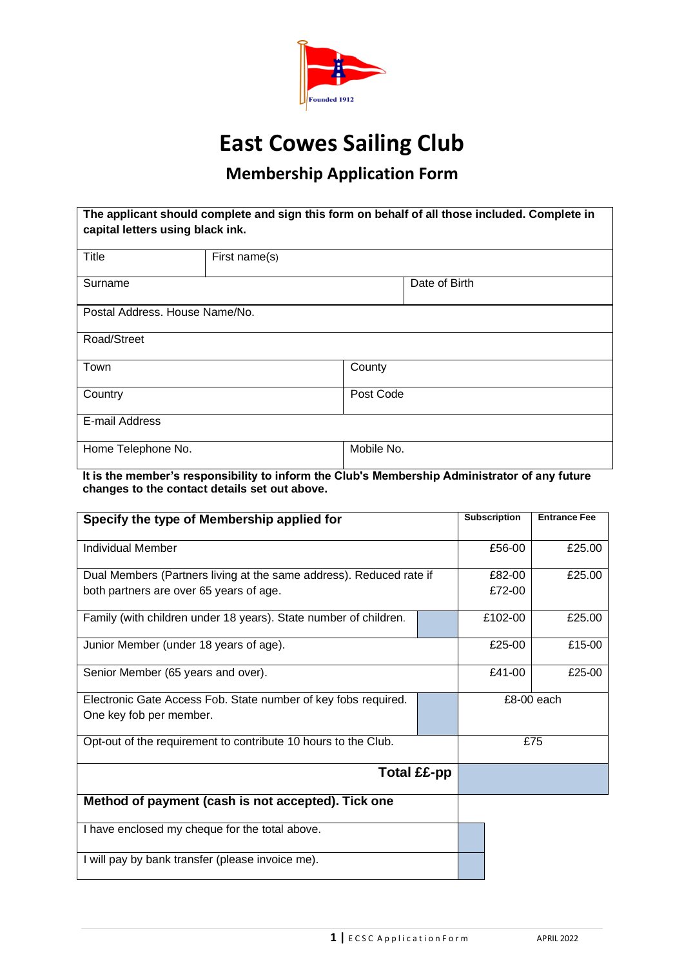

# **East Cowes Sailing Club**

# **Membership Application Form**

| The applicant should complete and sign this form on behalf of all those included. Complete in<br>capital letters using black ink. |               |            |               |  |  |  |
|-----------------------------------------------------------------------------------------------------------------------------------|---------------|------------|---------------|--|--|--|
| Title                                                                                                                             | First name(s) |            |               |  |  |  |
| Surname                                                                                                                           |               |            | Date of Birth |  |  |  |
| Postal Address, House Name/No.                                                                                                    |               |            |               |  |  |  |
| Road/Street                                                                                                                       |               |            |               |  |  |  |
| Town                                                                                                                              |               | County     |               |  |  |  |
| Country                                                                                                                           |               | Post Code  |               |  |  |  |
| E-mail Address                                                                                                                    |               |            |               |  |  |  |
| Home Telephone No.                                                                                                                |               | Mobile No. |               |  |  |  |

**It is the member's responsibility to inform the Club's Membership Administrator of any future changes to the contact details set out above.**

| Specify the type of Membership applied for                          | <b>Subscription</b> | <b>Entrance Fee</b> |        |
|---------------------------------------------------------------------|---------------------|---------------------|--------|
| Individual Member                                                   | £56-00              | £25.00              |        |
| Dual Members (Partners living at the same address). Reduced rate if | £82-00              | £25.00              |        |
| both partners are over 65 years of age.                             | £72-00              |                     |        |
| Family (with children under 18 years). State number of children.    |                     | £102-00             | £25.00 |
| Junior Member (under 18 years of age).                              |                     | £25-00              | £15-00 |
| Senior Member (65 years and over).                                  | £41-00              | £25-00              |        |
| Electronic Gate Access Fob. State number of key fobs required.      |                     | £8-00 each          |        |
| One key fob per member.                                             |                     |                     |        |
| Opt-out of the requirement to contribute 10 hours to the Club.      |                     | £75                 |        |
| Total ££-pp                                                         |                     |                     |        |
| Method of payment (cash is not accepted). Tick one                  |                     |                     |        |
| I have enclosed my cheque for the total above.                      |                     |                     |        |
| I will pay by bank transfer (please invoice me).                    |                     |                     |        |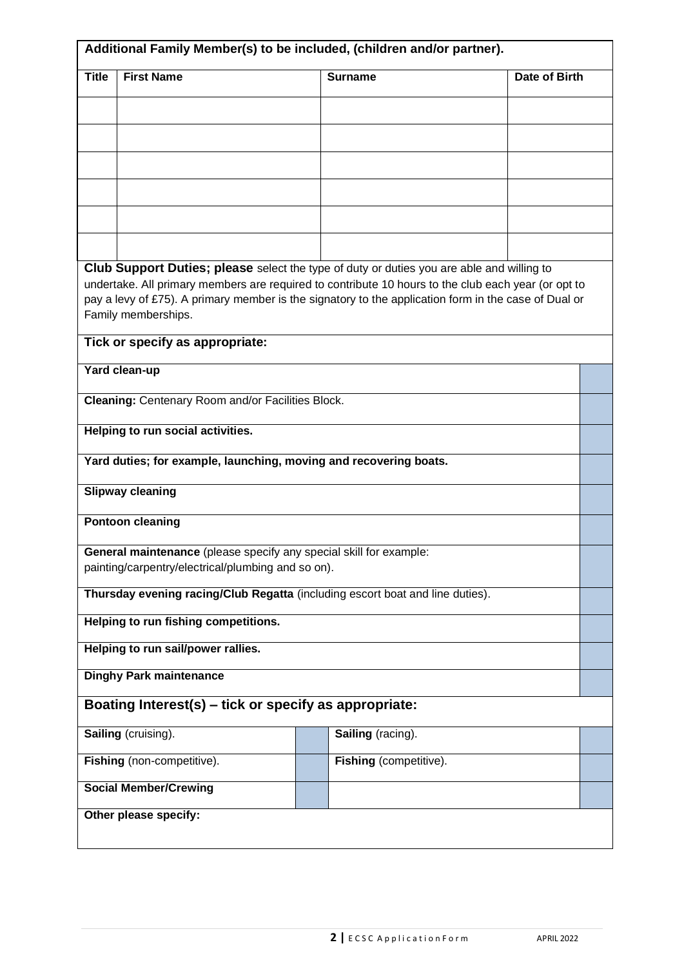| Additional Family Member(s) to be included, (children and/or partner). |                                                                                                                             |                        |               |  |  |  |
|------------------------------------------------------------------------|-----------------------------------------------------------------------------------------------------------------------------|------------------------|---------------|--|--|--|
| <b>Title</b>                                                           | <b>First Name</b>                                                                                                           | <b>Surname</b>         | Date of Birth |  |  |  |
|                                                                        |                                                                                                                             |                        |               |  |  |  |
|                                                                        |                                                                                                                             |                        |               |  |  |  |
|                                                                        |                                                                                                                             |                        |               |  |  |  |
|                                                                        |                                                                                                                             |                        |               |  |  |  |
|                                                                        |                                                                                                                             |                        |               |  |  |  |
|                                                                        |                                                                                                                             |                        |               |  |  |  |
|                                                                        |                                                                                                                             |                        |               |  |  |  |
|                                                                        | Club Support Duties; please select the type of duty or duties you are able and willing to                                   |                        |               |  |  |  |
|                                                                        | undertake. All primary members are required to contribute 10 hours to the club each year (or opt to                         |                        |               |  |  |  |
|                                                                        | pay a levy of £75). A primary member is the signatory to the application form in the case of Dual or<br>Family memberships. |                        |               |  |  |  |
|                                                                        |                                                                                                                             |                        |               |  |  |  |
|                                                                        | Tick or specify as appropriate:                                                                                             |                        |               |  |  |  |
|                                                                        | Yard clean-up                                                                                                               |                        |               |  |  |  |
|                                                                        | Cleaning: Centenary Room and/or Facilities Block.                                                                           |                        |               |  |  |  |
|                                                                        | <b>Helping to run social activities.</b>                                                                                    |                        |               |  |  |  |
|                                                                        |                                                                                                                             |                        |               |  |  |  |
|                                                                        | Yard duties; for example, launching, moving and recovering boats.                                                           |                        |               |  |  |  |
|                                                                        | <b>Slipway cleaning</b>                                                                                                     |                        |               |  |  |  |
|                                                                        | <b>Pontoon cleaning</b>                                                                                                     |                        |               |  |  |  |
|                                                                        | General maintenance (please specify any special skill for example:                                                          |                        |               |  |  |  |
|                                                                        | painting/carpentry/electrical/plumbing and so on).                                                                          |                        |               |  |  |  |
|                                                                        | Thursday evening racing/Club Regatta (including escort boat and line duties).                                               |                        |               |  |  |  |
|                                                                        | Helping to run fishing competitions.                                                                                        |                        |               |  |  |  |
|                                                                        | Helping to run sail/power rallies.                                                                                          |                        |               |  |  |  |
|                                                                        | <b>Dinghy Park maintenance</b>                                                                                              |                        |               |  |  |  |
|                                                                        | Boating Interest(s) - tick or specify as appropriate:                                                                       |                        |               |  |  |  |
|                                                                        | Sailing (cruising).                                                                                                         | Sailing (racing).      |               |  |  |  |
|                                                                        | Fishing (non-competitive).                                                                                                  | Fishing (competitive). |               |  |  |  |
|                                                                        | <b>Social Member/Crewing</b>                                                                                                |                        |               |  |  |  |
| Other please specify:                                                  |                                                                                                                             |                        |               |  |  |  |
|                                                                        |                                                                                                                             |                        |               |  |  |  |
|                                                                        |                                                                                                                             |                        |               |  |  |  |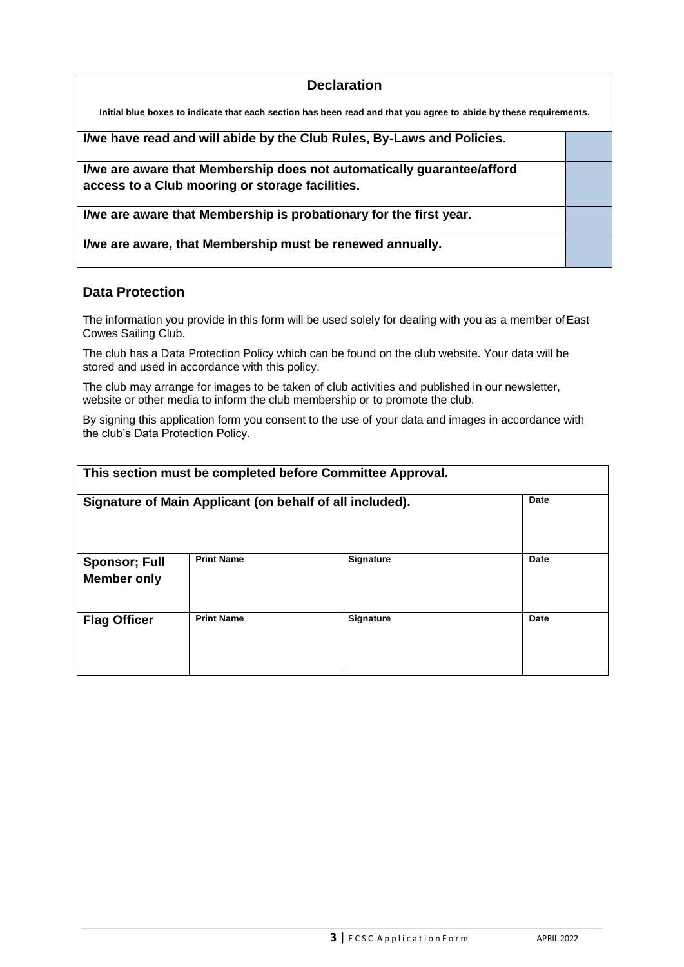#### **Declaration**

**Initial blue boxes to indicate that each section has been read and that you agree to abide by these requirements.**

**I/we have read and will abide by the Club Rules, By-Laws and Policies.**

**I/we are aware that Membership does not automatically guarantee/afford access to a Club mooring or storage facilities.**

**I/we are aware that Membership is probationary for the first year.**

**I/we are aware, that Membership must be renewed annually.**

#### **Data Protection**

The information you provide in this form will be used solely for dealing with you as a member of East Cowes Sailing Club.

The club has a Data Protection Policy which can be found on the club website. Your data will be stored and used in accordance with this policy.

The club may arrange for images to be taken of club activities and published in our newsletter, website or other media to inform the club membership or to promote the club.

By signing this application form you consent to the use of your data and images in accordance with the club's Data Protection Policy.

| This section must be completed before Committee Approval. |                   |                  |      |  |  |  |  |
|-----------------------------------------------------------|-------------------|------------------|------|--|--|--|--|
| Signature of Main Applicant (on behalf of all included).  | Date              |                  |      |  |  |  |  |
| <b>Sponsor; Full</b><br><b>Member only</b>                | <b>Print Name</b> | <b>Signature</b> | Date |  |  |  |  |
| <b>Flag Officer</b>                                       | <b>Print Name</b> | <b>Signature</b> | Date |  |  |  |  |